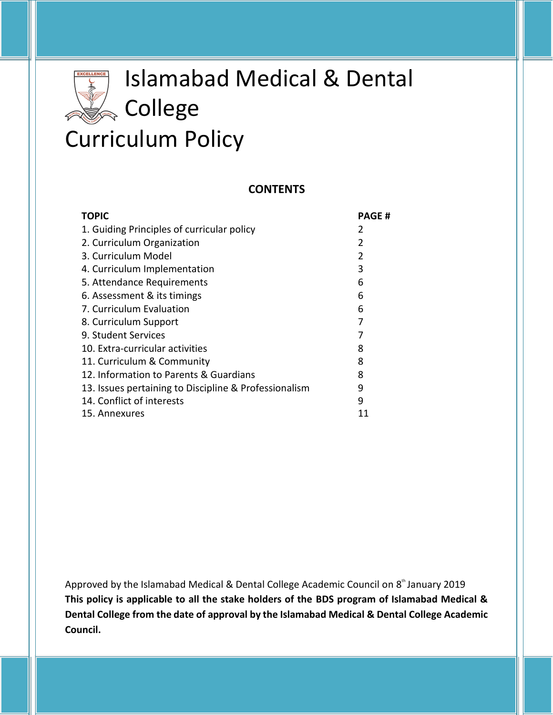# Islamabad Medical & Dental **Reduced College** Curriculum Policy

#### **CONTENTS**

| <b>TOPIC</b>                                          | <b>PAGE#</b> |
|-------------------------------------------------------|--------------|
| 1. Guiding Principles of curricular policy            | 2            |
| 2. Curriculum Organization                            | 2            |
| 3. Curriculum Model                                   | 2            |
| 4. Curriculum Implementation                          | 3            |
| 5. Attendance Requirements                            | 6            |
| 6. Assessment & its timings                           | 6            |
| 7. Curriculum Evaluation                              | 6            |
| 8. Curriculum Support                                 | 7            |
| 9. Student Services                                   | 7            |
| 10. Extra-curricular activities                       | 8            |
| 11. Curriculum & Community                            | 8            |
| 12. Information to Parents & Guardians                | 8            |
| 13. Issues pertaining to Discipline & Professionalism | 9            |
| 14. Conflict of interests                             | 9            |
| 15. Annexures                                         | 11           |

Approved by the Islamabad Medical & Dental College Academic Council on 8<sup>th</sup> January 2019 **This policy is applicable to all the stake holders of the BDS program of Islamabad Medical & Dental College from the date of approval by the Islamabad Medical & Dental College Academic Council.**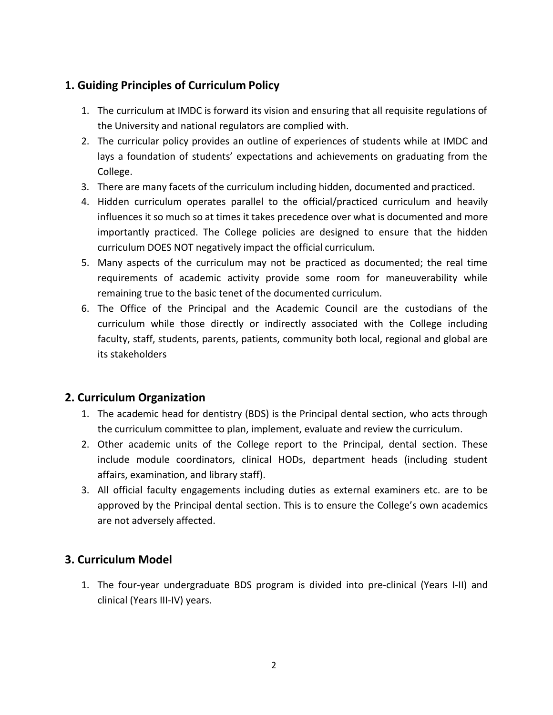# **1. Guiding Principles of Curriculum Policy**

- 1. The curriculum at IMDC is forward its vision and ensuring that all requisite regulations of the University and national regulators are complied with.
- 2. The curricular policy provides an outline of experiences of students while at IMDC and lays a foundation of students' expectations and achievements on graduating from the College.
- 3. There are many facets of the curriculum including hidden, documented and practiced.
- 4. Hidden curriculum operates parallel to the official/practiced curriculum and heavily influences it so much so at times it takes precedence over what is documented and more importantly practiced. The College policies are designed to ensure that the hidden curriculum DOES NOT negatively impact the official curriculum.
- 5. Many aspects of the curriculum may not be practiced as documented; the real time requirements of academic activity provide some room for maneuverability while remaining true to the basic tenet of the documented curriculum.
- 6. The Office of the Principal and the Academic Council are the custodians of the curriculum while those directly or indirectly associated with the College including faculty, staff, students, parents, patients, community both local, regional and global are its stakeholders

## **2. Curriculum Organization**

- 1. The academic head for dentistry (BDS) is the Principal dental section, who acts through the curriculum committee to plan, implement, evaluate and review the curriculum.
- 2. Other academic units of the College report to the Principal, dental section. These include module coordinators, clinical HODs, department heads (including student affairs, examination, and library staff).
- 3. All official faculty engagements including duties as external examiners etc. are to be approved by the Principal dental section. This is to ensure the College's own academics are not adversely affected.

## **3. Curriculum Model**

1. The four-year undergraduate BDS program is divided into pre-clinical (Years I-II) and clinical (Years III-IV) years.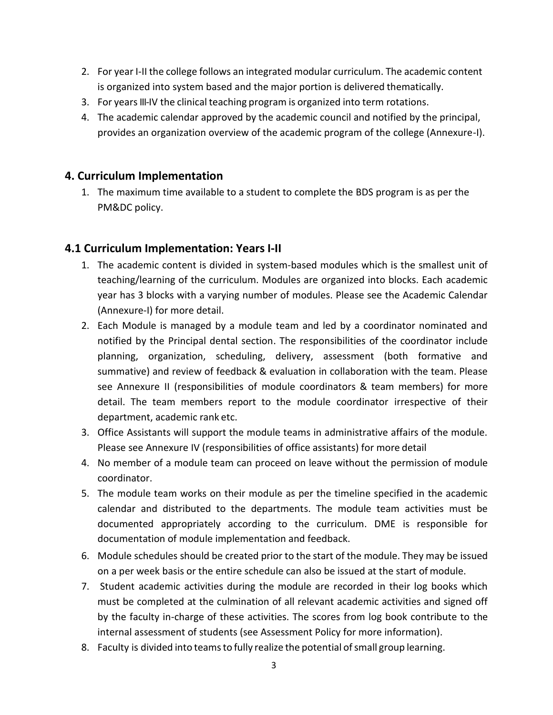- 2. For year I-II the college follows an integrated modular curriculum. The academic content is organized into system based and the major portion is delivered thematically.
- 3. For years III-IV the clinical teaching program is organized into term rotations.
- 4. The academic calendar approved by the academic council and notified by the principal, provides an organization overview of the academic program of the college (Annexure-I).

#### **4. Curriculum Implementation**

1. The maximum time available to a student to complete the BDS program is as per the PM&DC policy.

## **4.1 Curriculum Implementation: Years I-II**

- 1. The academic content is divided in system-based modules which is the smallest unit of teaching/learning of the curriculum. Modules are organized into blocks. Each academic year has 3 blocks with a varying number of modules. Please see the Academic Calendar (Annexure-I) for more detail.
- 2. Each Module is managed by a module team and led by a coordinator nominated and notified by the Principal dental section. The responsibilities of the coordinator include planning, organization, scheduling, delivery, assessment (both formative and summative) and review of feedback & evaluation in collaboration with the team. Please see Annexure II (responsibilities of module coordinators & team members) for more detail. The team members report to the module coordinator irrespective of their department, academic rank etc.
- 3. Office Assistants will support the module teams in administrative affairs of the module. Please see Annexure IV (responsibilities of office assistants) for more detail
- 4. No member of a module team can proceed on leave without the permission of module coordinator.
- 5. The module team works on their module as per the timeline specified in the academic calendar and distributed to the departments. The module team activities must be documented appropriately according to the curriculum. DME is responsible for documentation of module implementation and feedback.
- 6. Module schedules should be created prior to the start of the module. They may be issued on a per week basis or the entire schedule can also be issued at the start of module.
- 7. Student academic activities during the module are recorded in their log books which must be completed at the culmination of all relevant academic activities and signed off by the faculty in-charge of these activities. The scores from log book contribute to the internal assessment of students (see Assessment Policy for more information).
- 8. Faculty is divided into teams to fully realize the potential of small group learning.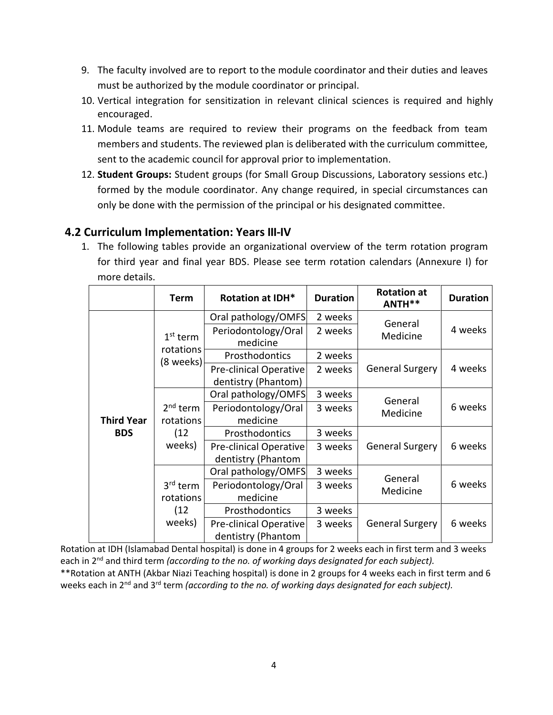- 9. The faculty involved are to report to the module coordinator and their duties and leaves must be authorized by the module coordinator or principal.
- 10. Vertical integration for sensitization in relevant clinical sciences is required and highly encouraged.
- 11. Module teams are required to review their programs on the feedback from team members and students. The reviewed plan is deliberated with the curriculum committee, sent to the academic council for approval prior to implementation.
- 12. **Student Groups:** Student groups (for Small Group Discussions, Laboratory sessions etc.) formed by the module coordinator. Any change required, in special circumstances can only be done with the permission of the principal or his designated committee.

## **4.2 Curriculum Implementation: Years III-IV**

1. The following tables provide an organizational overview of the term rotation program for third year and final year BDS. Please see term rotation calendars (Annexure I) for more details.

|                   | <b>Term</b>                       | <b>Rotation at IDH*</b>                              | <b>Duration</b>        | <b>Rotation at</b><br>ANTH** | <b>Duration</b> |
|-------------------|-----------------------------------|------------------------------------------------------|------------------------|------------------------------|-----------------|
|                   |                                   | Oral pathology/OMFS                                  | 2 weeks                | General                      |                 |
|                   | $1st$ term<br>rotations           | Periodontology/Oral<br>medicine                      | 2 weeks                | Medicine                     | 4 weeks         |
|                   | (8 weeks)                         | Prosthodontics                                       | 2 weeks                |                              |                 |
|                   |                                   | <b>Pre-clinical Operative</b><br>dentistry (Phantom) | 2 weeks                | <b>General Surgery</b>       | 4 weeks         |
|                   |                                   | Oral pathology/OMFS                                  | 3 weeks                | General                      |                 |
| <b>Third Year</b> | $2nd$ term<br>rotations           | Periodontology/Oral<br>medicine                      | 3 weeks                | Medicine                     | 6 weeks         |
| <b>BDS</b>        | (12)                              | Prosthodontics                                       | 3 weeks                |                              |                 |
|                   | weeks)                            | Pre-clinical Operative<br>dentistry (Phantom         | <b>General Surgery</b> | 6 weeks                      |                 |
|                   |                                   | Oral pathology/OMFS                                  | 3 weeks                | General                      |                 |
|                   | 3 <sup>rd</sup> term<br>rotations | Periodontology/Oral<br>medicine                      | 3 weeks                | Medicine                     | 6 weeks         |
|                   | (12)                              | Prosthodontics                                       | 3 weeks                |                              |                 |
|                   | weeks)                            | <b>Pre-clinical Operative</b><br>dentistry (Phantom  | 3 weeks                | <b>General Surgery</b>       | 6 weeks         |

Rotation at IDH (Islamabad Dental hospital) is done in 4 groups for 2 weeks each in first term and 3 weeks each in 2<sup>nd</sup> and third term *(according to the no. of working days designated for each subject).* \*\*Rotation at ANTH (Akbar Niazi Teaching hospital) is done in 2 groups for 4 weeks each in first term and 6 weeks each in 2<sup>nd</sup> and 3<sup>rd</sup> term *(according to the no. of working days designated for each subject).*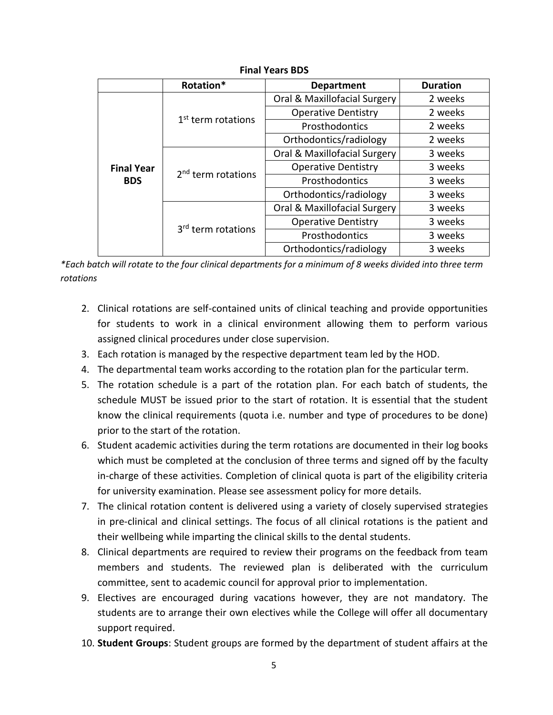|                                 | Rotation*                      | <b>Department</b>            | <b>Duration</b> |  |  |  |
|---------------------------------|--------------------------------|------------------------------|-----------------|--|--|--|
| <b>Final Year</b><br><b>BDS</b> |                                | Oral & Maxillofacial Surgery | 2 weeks         |  |  |  |
|                                 | 1 <sup>st</sup> term rotations | <b>Operative Dentistry</b>   | 2 weeks         |  |  |  |
|                                 |                                | Prosthodontics               | 2 weeks         |  |  |  |
|                                 |                                | Orthodontics/radiology       | 2 weeks         |  |  |  |
|                                 |                                | Oral & Maxillofacial Surgery | 3 weeks         |  |  |  |
|                                 | 2 <sup>nd</sup> term rotations | <b>Operative Dentistry</b>   | 3 weeks         |  |  |  |
|                                 |                                | Prosthodontics               |                 |  |  |  |
|                                 |                                | Orthodontics/radiology       | 3 weeks         |  |  |  |
|                                 |                                | Oral & Maxillofacial Surgery | 3 weeks         |  |  |  |
|                                 | 3 <sup>rd</sup> term rotations | <b>Operative Dentistry</b>   |                 |  |  |  |
|                                 |                                | Prosthodontics               | 3 weeks         |  |  |  |
|                                 |                                | Orthodontics/radiology       | 3 weeks         |  |  |  |

#### **Final Years BDS**

*\*Each batch will rotate to the four clinical departments for a minimum of 8 weeks divided into three term rotations*

- 2. Clinical rotations are self-contained units of clinical teaching and provide opportunities for students to work in a clinical environment allowing them to perform various assigned clinical procedures under close supervision.
- 3. Each rotation is managed by the respective department team led by the HOD.
- 4. The departmental team works according to the rotation plan for the particular term.
- 5. The rotation schedule is a part of the rotation plan. For each batch of students, the schedule MUST be issued prior to the start of rotation. It is essential that the student know the clinical requirements (quota i.e. number and type of procedures to be done) prior to the start of the rotation.
- 6. Student academic activities during the term rotations are documented in their log books which must be completed at the conclusion of three terms and signed off by the faculty in-charge of these activities. Completion of clinical quota is part of the eligibility criteria for university examination. Please see assessment policy for more details.
- 7. The clinical rotation content is delivered using a variety of closely supervised strategies in pre-clinical and clinical settings. The focus of all clinical rotations is the patient and their wellbeing while imparting the clinical skills to the dental students.
- 8. Clinical departments are required to review their programs on the feedback from team members and students. The reviewed plan is deliberated with the curriculum committee, sent to academic council for approval prior to implementation.
- 9. Electives are encouraged during vacations however, they are not mandatory. The students are to arrange their own electives while the College will offer all documentary support required.
- 10. **Student Groups**: Student groups are formed by the department of student affairs at the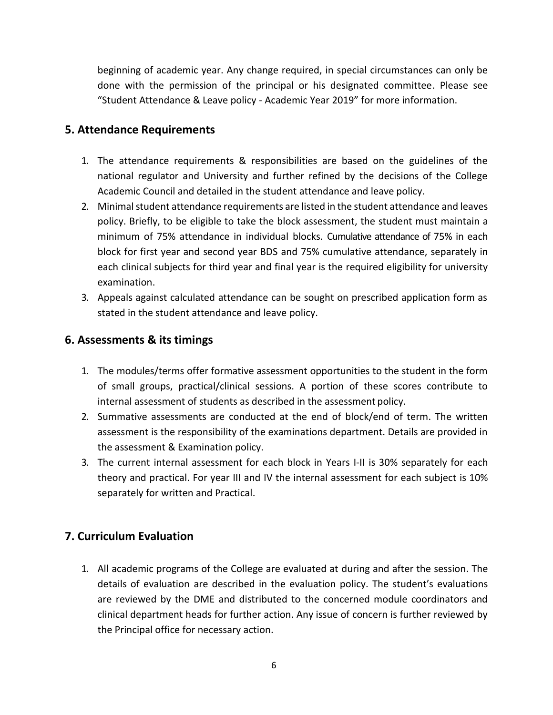beginning of academic year. Any change required, in special circumstances can only be done with the permission of the principal or his designated committee. Please see "Student Attendance & Leave policy - Academic Year 2019" for more information.

#### **5. Attendance Requirements**

- 1. The attendance requirements & responsibilities are based on the guidelines of the national regulator and University and further refined by the decisions of the College Academic Council and detailed in the student attendance and leave policy.
- 2. Minimal student attendance requirements are listed in the student attendance and leaves policy. Briefly, to be eligible to take the block assessment, the student must maintain a minimum of 75% attendance in individual blocks. Cumulative attendance of 75% in each block for first year and second year BDS and 75% cumulative attendance, separately in each clinical subjects for third year and final year is the required eligibility for university examination.
- 3. Appeals against calculated attendance can be sought on prescribed application form as stated in the student attendance and leave policy.

## **6. Assessments & its timings**

- 1. The modules/terms offer formative assessment opportunities to the student in the form of small groups, practical/clinical sessions. A portion of these scores contribute to internal assessment of students as described in the assessment policy.
- 2. Summative assessments are conducted at the end of block/end of term. The written assessment is the responsibility of the examinations department. Details are provided in the assessment & Examination policy.
- 3. The current internal assessment for each block in Years I-II is 30% separately for each theory and practical. For year III and IV the internal assessment for each subject is 10% separately for written and Practical.

## **7. Curriculum Evaluation**

1. All academic programs of the College are evaluated at during and after the session. The details of evaluation are described in the evaluation policy. The student's evaluations are reviewed by the DME and distributed to the concerned module coordinators and clinical department heads for further action. Any issue of concern is further reviewed by the Principal office for necessary action.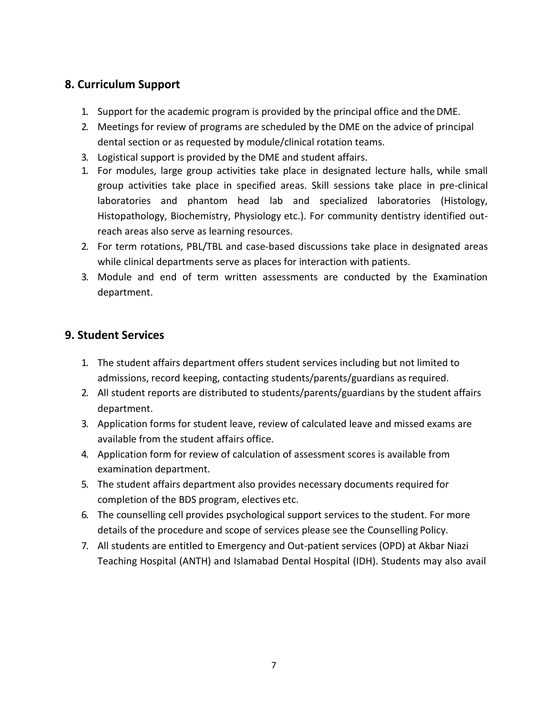# **8. Curriculum Support**

- 1. Support for the academic program is provided by the principal office and theDME.
- 2. Meetings for review of programs are scheduled by the DME on the advice of principal dental section or as requested by module/clinical rotation teams.
- 3. Logistical support is provided by the DME and student affairs.
- 1. For modules, large group activities take place in designated lecture halls, while small group activities take place in specified areas. Skill sessions take place in pre-clinical laboratories and phantom head lab and specialized laboratories (Histology, Histopathology, Biochemistry, Physiology etc.). For community dentistry identified outreach areas also serve as learning resources.
- 2. For term rotations, PBL/TBL and case-based discussions take place in designated areas while clinical departments serve as places for interaction with patients.
- 3. Module and end of term written assessments are conducted by the Examination department.

## **9. Student Services**

- 1. The student affairs department offers student services including but not limited to admissions, record keeping, contacting students/parents/guardians asrequired.
- 2. All student reports are distributed to students/parents/guardians by the student affairs department.
- 3. Application forms for student leave, review of calculated leave and missed exams are available from the student affairs office.
- 4. Application form for review of calculation of assessment scores is available from examination department.
- 5. The student affairs department also provides necessary documents required for completion of the BDS program, electives etc.
- 6. The counselling cell provides psychological support services to the student. For more details of the procedure and scope of services please see the Counselling Policy.
- 7. All students are entitled to Emergency and Out-patient services (OPD) at Akbar Niazi Teaching Hospital (ANTH) and Islamabad Dental Hospital (IDH). Students may also avail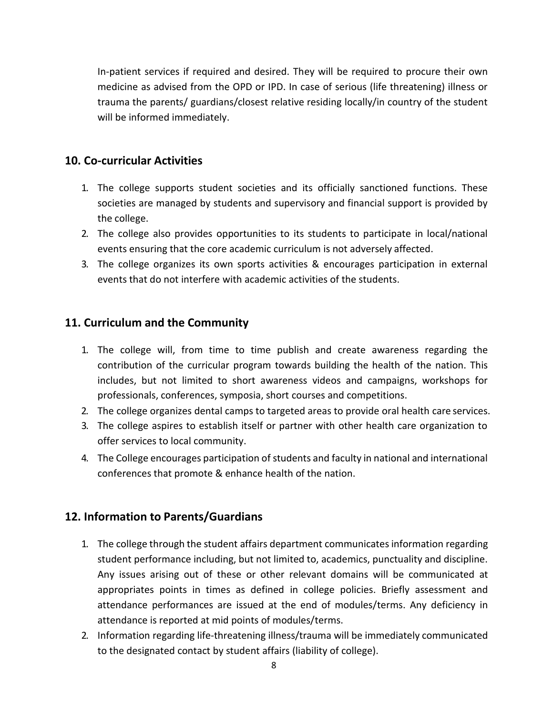In-patient services if required and desired. They will be required to procure their own medicine as advised from the OPD or IPD. In case of serious (life threatening) illness or trauma the parents/ guardians/closest relative residing locally/in country of the student will be informed immediately.

### **10. Co-curricular Activities**

- 1. The college supports student societies and its officially sanctioned functions. These societies are managed by students and supervisory and financial support is provided by the college.
- 2. The college also provides opportunities to its students to participate in local/national events ensuring that the core academic curriculum is not adversely affected.
- 3. The college organizes its own sports activities & encourages participation in external events that do not interfere with academic activities of the students.

## **11. Curriculum and the Community**

- 1. The college will, from time to time publish and create awareness regarding the contribution of the curricular program towards building the health of the nation. This includes, but not limited to short awareness videos and campaigns, workshops for professionals, conferences, symposia, short courses and competitions.
- 2. The college organizes dental camps to targeted areas to provide oral health care services.
- 3. The college aspires to establish itself or partner with other health care organization to offer services to local community.
- 4. The College encourages participation of students and faculty in national and international conferences that promote & enhance health of the nation.

#### **12. Information to Parents/Guardians**

- 1. The college through the student affairs department communicatesinformation regarding student performance including, but not limited to, academics, punctuality and discipline. Any issues arising out of these or other relevant domains will be communicated at appropriates points in times as defined in college policies. Briefly assessment and attendance performances are issued at the end of modules/terms. Any deficiency in attendance is reported at mid points of modules/terms.
- 2. Information regarding life-threatening illness/trauma will be immediately communicated to the designated contact by student affairs (liability of college).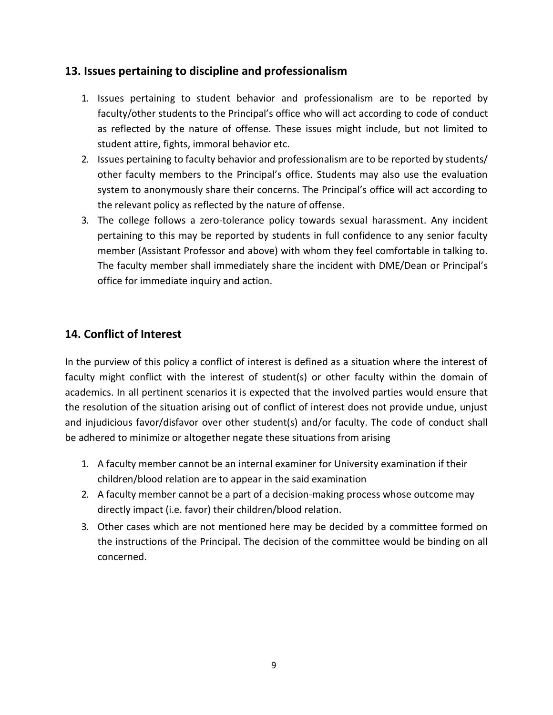### **13. Issues pertaining to discipline and professionalism**

- 1. Issues pertaining to student behavior and professionalism are to be reported by faculty/other students to the Principal's office who will act according to code of conduct as reflected by the nature of offense. These issues might include, but not limited to student attire, fights, immoral behavior etc.
- 2. Issues pertaining to faculty behavior and professionalism are to be reported by students/ other faculty members to the Principal's office. Students may also use the evaluation system to anonymously share their concerns. The Principal's office will act according to the relevant policy as reflected by the nature of offense.
- 3. The college follows a zero-tolerance policy towards sexual harassment. Any incident pertaining to this may be reported by students in full confidence to any senior faculty member (Assistant Professor and above) with whom they feel comfortable in talking to. The faculty member shall immediately share the incident with DME/Dean or Principal's office for immediate inquiry and action.

# **14. Conflict of Interest**

In the purview of this policy a conflict of interest is defined as a situation where the interest of faculty might conflict with the interest of student(s) or other faculty within the domain of academics. In all pertinent scenarios it is expected that the involved parties would ensure that the resolution of the situation arising out of conflict of interest does not provide undue, unjust and injudicious favor/disfavor over other student(s) and/or faculty. The code of conduct shall be adhered to minimize or altogether negate these situations from arising

- 1. A faculty member cannot be an internal examiner for University examination if their children/blood relation are to appear in the said examination
- 2. A faculty member cannot be a part of a decision-making process whose outcome may directly impact (i.e. favor) their children/blood relation.
- 3. Other cases which are not mentioned here may be decided by a committee formed on the instructions of the Principal. The decision of the committee would be binding on all concerned.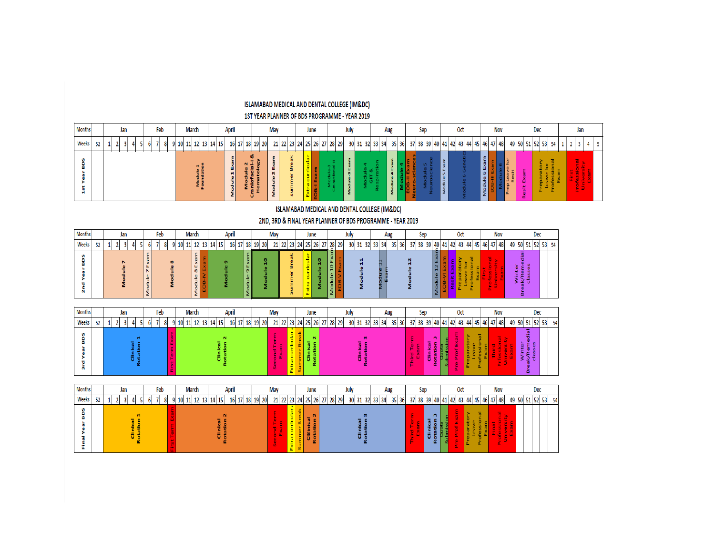|                                       | 1ST YEAR PLANNER OF BDS PROGRAMME - YEAR 2019<br><b>April</b><br><b>March</b><br>June<br>Oct<br><b>Nov</b><br>Jan |                                           |                        |                                  |                     |        |  |                       |                        |  |                         |                                |              |                              |                         |            |                  |                    |                                     |  |                            |               |                      |                   |                              |        |                              |                                     |                         |                   |            |                          |                      |                      |                      |                        |                        |                                     |     |                                          |      |                                           |                |   |  |  |  |  |  |  |  |  |  |     |  |  |  |  |  |
|---------------------------------------|-------------------------------------------------------------------------------------------------------------------|-------------------------------------------|------------------------|----------------------------------|---------------------|--------|--|-----------------------|------------------------|--|-------------------------|--------------------------------|--------------|------------------------------|-------------------------|------------|------------------|--------------------|-------------------------------------|--|----------------------------|---------------|----------------------|-------------------|------------------------------|--------|------------------------------|-------------------------------------|-------------------------|-------------------|------------|--------------------------|----------------------|----------------------|----------------------|------------------------|------------------------|-------------------------------------|-----|------------------------------------------|------|-------------------------------------------|----------------|---|--|--|--|--|--|--|--|--|--|-----|--|--|--|--|--|
| <b>Months</b>                         |                                                                                                                   | Jan                                       |                        |                                  | Feb                 |        |  |                       |                        |  |                         |                                |              |                              |                         |            |                  |                    |                                     |  |                            |               |                      |                   |                              |        |                              |                                     |                         | May               |            |                          |                      |                      |                      |                        | July                   |                                     |     | Aug                                      |      |                                           | Sep            |   |  |  |  |  |  |  |  |  |  | Dec |  |  |  |  |  |
| Weeks                                 | 52                                                                                                                | $\overline{\mathbf{3}}$<br>$\overline{2}$ |                        | 6 <sup>1</sup>                   | $\overline{7}$<br>8 | 9      |  | 10 11 12 13 14 15     |                        |  |                         | 16 17                          |              | 18 19 20                     |                         | $21 \, 22$ |                  |                    | 23 24 25 26 27                      |  | 28 29                      |               | 30 31 32 33 34       |                   |                              | 35 36  |                              | 37 38 39 40                         |                         | 41                | 42 43 44   |                          |                      |                      | 45 46 47 48          |                        |                        | 49 50 51 52 53                      |     |                                          | 54   | $\overline{\mathbf{3}}$<br>$\overline{2}$ | $\overline{4}$ | 5 |  |  |  |  |  |  |  |  |  |     |  |  |  |  |  |
| <b>SOS</b><br>Year<br>st              |                                                                                                                   |                                           |                        |                                  |                     |        |  |                       | Module 1<br>Foundation |  |                         | Events.<br>Module <sub>1</sub> | Module       | Hematology<br>Craniofacial-I | Module 2 Exam           |            | summer Break     | curricular<br>ktra | 0B-I Exam                           |  | Module-<br>Craniofacia     | Module-3 Exam |                      | Module 4<br>GIT & | Module 4 Exam<br>Respiration | Module | Neuro-sciend<br><b>H-805</b> |                                     | Module 5<br>Neuroscienc | Module 5 Exam     |            |                          |                      | Module 6 Exam        |                      |                        | ē<br>Resit<br>Prep Lea | esit Exam                           |     | Preparatory<br>Leave for<br>Professional | Exam | Professi                                  | <b>Drive</b>   |   |  |  |  |  |  |  |  |  |  |     |  |  |  |  |  |
|                                       | ISLAMABAD MEDICAL AND DENTAL COLLEGE (IM&DC)                                                                      |                                           |                        |                                  |                     |        |  |                       |                        |  |                         |                                |              |                              |                         |            |                  |                    |                                     |  |                            |               |                      |                   |                              |        |                              |                                     |                         |                   |            |                          |                      |                      |                      |                        |                        |                                     |     |                                          |      |                                           |                |   |  |  |  |  |  |  |  |  |  |     |  |  |  |  |  |
|                                       | 2ND, 3RD & FINAL YEAR PLANNER OF BDS PROGRAMME - YEAR 2019<br>Dec                                                 |                                           |                        |                                  |                     |        |  |                       |                        |  |                         |                                |              |                              |                         |            |                  |                    |                                     |  |                            |               |                      |                   |                              |        |                              |                                     |                         |                   |            |                          |                      |                      |                      |                        |                        |                                     |     |                                          |      |                                           |                |   |  |  |  |  |  |  |  |  |  |     |  |  |  |  |  |
| <b>Months</b>                         |                                                                                                                   | Jan                                       |                        |                                  | Feb                 |        |  | <b>March</b>          |                        |  | April                   |                                |              | May                          |                         |            | June             |                    | July                                |  |                            |               | Aug                  |                   |                              | Sep    |                              |                                     | Oct                     |                   |            |                          |                      | <b>Nov</b>           |                      |                        |                        |                                     |     |                                          |      |                                           |                |   |  |  |  |  |  |  |  |  |  |     |  |  |  |  |  |
| Weeks                                 | 52                                                                                                                | $\overline{\mathbf{3}}$<br>$\overline{2}$ |                        | 6 <sup>1</sup>                   |                     |        |  | $9$ 10 11 12 13       |                        |  | 14 15                   | 16 17                          |              | 18 19 20                     |                         | $21 \ 22$  | 23               |                    | 24 25 26 27                         |  | $28$ 29                    |               | 30 31 32 33 34       |                   |                              | 35 36  |                              | 37 38 39 40 41                      |                         |                   |            |                          | 42 43 44 45          |                      | 46 47 48             |                        |                        | 49 50 51 52 53 54                   |     |                                          |      |                                           |                |   |  |  |  |  |  |  |  |  |  |     |  |  |  |  |  |
| <b>SOB</b><br>Year<br>2 <sub>nd</sub> |                                                                                                                   |                                           |                        | Exam<br>$\overline{ }$<br>Module |                     | Module |  | Module 8 Exam         |                        |  | Module                  |                                | ø,<br>Module |                              | $\frac{1}{2}$<br>Module |            | Summer Break     | xtra               | Module 10                           |  | 10 Exan<br>Module          |               | Module               |                   | viodule                      |        | Module                       |                                     | Module 12 Exar          |                   | Resit Exa  | Preparatory<br>Leave for | Professiona          |                      | b<br>S               |                        |                        | Winter<br>»K/Remedial<br>classes    |     |                                          |      |                                           |                |   |  |  |  |  |  |  |  |  |  |     |  |  |  |  |  |
| <b>Months</b>                         |                                                                                                                   | Jan                                       |                        |                                  | Feb                 |        |  | <b>March</b>          |                        |  |                         | <b>April</b>                   |              |                              | May                     |            |                  |                    | June                                |  |                            | July          |                      |                   | Aug                          |        |                              | Sep                                 |                         |                   |            | Oct                      |                      |                      |                      | Nov                    |                        |                                     | Dec |                                          |      |                                           |                |   |  |  |  |  |  |  |  |  |  |     |  |  |  |  |  |
| Weeks                                 | 52                                                                                                                | $\vert$ 3<br>2 <sup>1</sup>               |                        | 6 <sup>1</sup>                   | $7 \times 8$        | -9     |  | 10 11 12 13 14 15     |                        |  |                         |                                |              | 16 17 18 19 20               |                         |            |                  |                    |                                     |  | 21 22 23 24 25 26 27 28 29 |               |                      |                   | 30 31 32 33 34 35 36         |        |                              | 37 38 39 40 41 42 43 44 45 46 47 48 |                         |                   |            |                          |                      |                      |                      |                        |                        | 49 50 51 52 53                      |     |                                          | 54   |                                           |                |   |  |  |  |  |  |  |  |  |  |     |  |  |  |  |  |
| SOB<br>Year<br>a<br>a                 |                                                                                                                   |                                           | Rotation 1<br>Clinical |                                  |                     |        |  |                       |                        |  | Clinical<br>Rotation    |                                |              |                              |                         |            | Extra curricular |                    | $\mathbf N$<br>Clinical<br>Rotation |  |                            |               | Clinical<br>Rotation |                   |                              |        | hird Terr                    |                                     | Clinical<br>Rotation    |                   | re Prof Ex |                          | reparator<br>Leave   | Professiona<br>Exam  | nied<br>F            | University<br>Prfessio |                        | Winter<br>Break/Remedial<br>classes |     |                                          |      |                                           |                |   |  |  |  |  |  |  |  |  |  |     |  |  |  |  |  |
| <b>Months</b>                         |                                                                                                                   | Jan                                       |                        |                                  | Feb                 |        |  | <b>March</b>          |                        |  |                         | <b>April</b>                   |              |                              | May                     |            |                  |                    | June                                |  |                            | July          |                      |                   | Aug                          |        |                              | Sep                                 |                         |                   |            | <b>Oct</b>               |                      |                      |                      | <b>Nov</b>             |                        |                                     | Dec |                                          |      |                                           |                |   |  |  |  |  |  |  |  |  |  |     |  |  |  |  |  |
| Weeks                                 | 52                                                                                                                | $\vert$ 3<br>$\overline{2}$               | Δ                      | 6 <sup>1</sup>                   | $\overline{7}$<br>8 |        |  | $9$ 10 11 12 13 14 15 |                        |  |                         |                                |              | 16 17 18 19 20               |                         |            |                  |                    |                                     |  | 21 22 23 24 25 26 27 28 29 |               |                      |                   | 30 31 32 33 34 35 36         |        |                              | 37 38 39 40 41                      |                         |                   |            |                          |                      |                      | 42 43 44 45 46 47 48 |                        |                        | 49 50 51 52 53                      |     |                                          | 54   |                                           |                |   |  |  |  |  |  |  |  |  |  |     |  |  |  |  |  |
| <b>SOB</b><br>Year<br>Final           |                                                                                                                   |                                           | Clinical               |                                  |                     |        |  |                       |                        |  | $\mathbf{N}$<br>otation |                                |              |                              |                         |            | Extra curricular | Break              | Cl8inical<br>Rotation 2             |  |                            |               | Rotation<br>Clinical |                   |                              |        | irg T<br>E                   |                                     | Clinical<br>Rotation    | Quota<br>Submissi | re Prof Ex |                          | Preparatory<br>Leave | Professional<br>Exam | Final<br>Profession  | Univers                |                        |                                     |     |                                          |      |                                           |                |   |  |  |  |  |  |  |  |  |  |     |  |  |  |  |  |

ISLAMABAD MEDICAL AND DENTAL COLLEGE (IM&DC)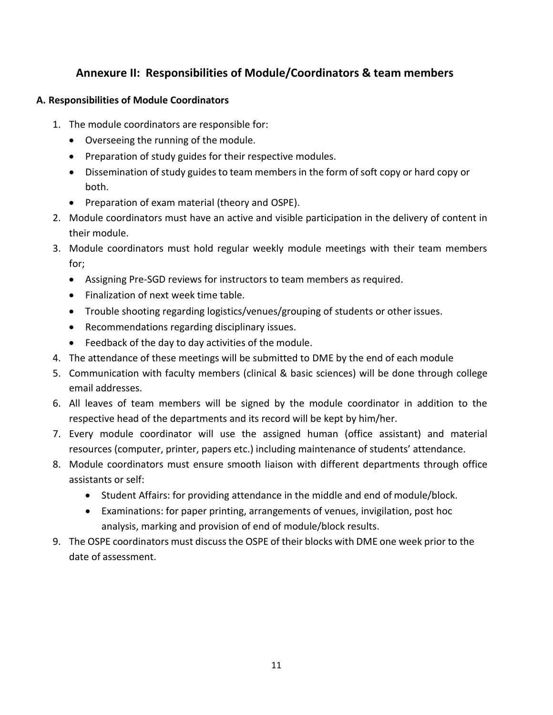## **Annexure II: Responsibilities of Module/Coordinators & team members**

#### **A. Responsibilities of Module Coordinators**

- 1. The module coordinators are responsible for:
	- Overseeing the running of the module.
	- Preparation of study guides for their respective modules.
	- Dissemination of study guides to team members in the form of soft copy or hard copy or both.
	- Preparation of exam material (theory and OSPE).
- 2. Module coordinators must have an active and visible participation in the delivery of content in their module.
- 3. Module coordinators must hold regular weekly module meetings with their team members for;
	- Assigning Pre-SGD reviews for instructors to team members as required.
	- Finalization of next week time table.
	- Trouble shooting regarding logistics/venues/grouping of students or other issues.
	- Recommendations regarding disciplinary issues.
	- Feedback of the day to day activities of the module.
- 4. The attendance of these meetings will be submitted to DME by the end of each module
- 5. Communication with faculty members (clinical & basic sciences) will be done through college email addresses.
- 6. All leaves of team members will be signed by the module coordinator in addition to the respective head of the departments and its record will be kept by him/her.
- 7. Every module coordinator will use the assigned human (office assistant) and material resources (computer, printer, papers etc.) including maintenance of students' attendance.
- 8. Module coordinators must ensure smooth liaison with different departments through office assistants or self:
	- Student Affairs: for providing attendance in the middle and end of module/block.
	- Examinations: for paper printing, arrangements of venues, invigilation, post hoc analysis, marking and provision of end of module/block results.
- 9. The OSPE coordinators must discussthe OSPE of their blocks with DME one week prior to the date of assessment.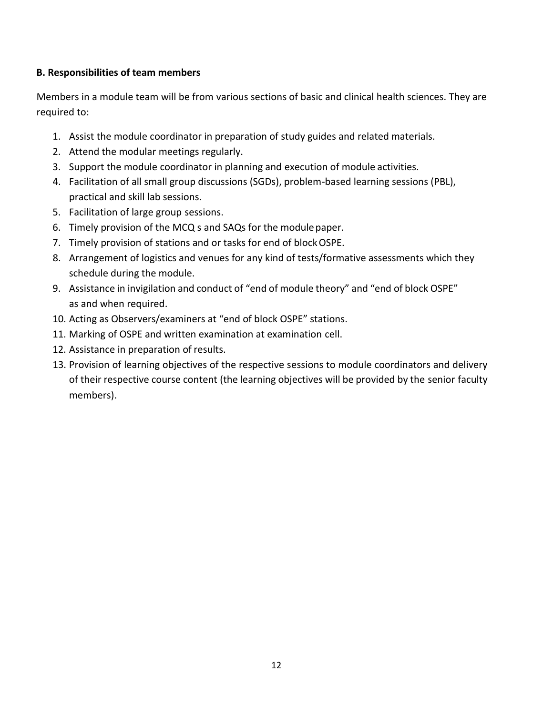#### **B. Responsibilities of team members**

Members in a module team will be from various sections of basic and clinical health sciences. They are required to:

- 1. Assist the module coordinator in preparation of study guides and related materials.
- 2. Attend the modular meetings regularly.
- 3. Support the module coordinator in planning and execution of module activities.
- 4. Facilitation of all small group discussions (SGDs), problem-based learning sessions (PBL), practical and skill lab sessions.
- 5. Facilitation of large group sessions.
- 6. Timely provision of the MCQ s and SAQs for the modulepaper.
- 7. Timely provision of stations and or tasks for end of blockOSPE.
- 8. Arrangement of logistics and venues for any kind of tests/formative assessments which they schedule during the module.
- 9. Assistance in invigilation and conduct of "end of module theory" and "end of block OSPE" as and when required.
- 10. Acting as Observers/examiners at "end of block OSPE" stations.
- 11. Marking of OSPE and written examination at examination cell.
- 12. Assistance in preparation of results.
- 13. Provision of learning objectives of the respective sessions to module coordinators and delivery of their respective course content (the learning objectives will be provided by the senior faculty members).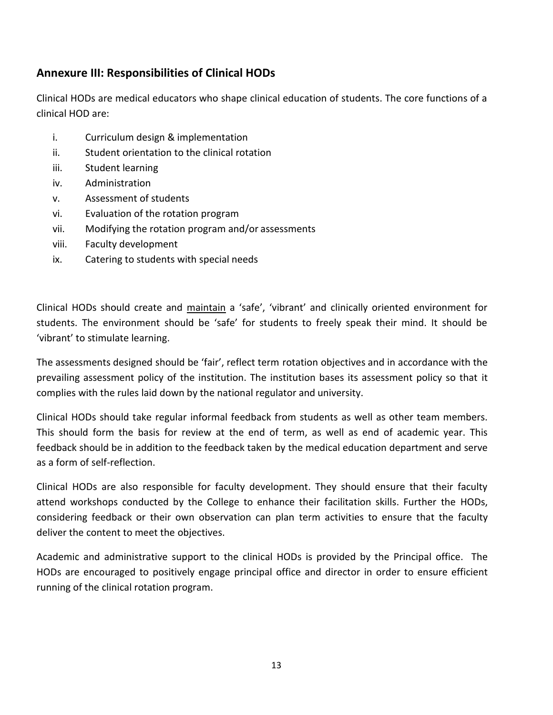# **Annexure III: Responsibilities of Clinical HODs**

Clinical HODs are medical educators who shape clinical education of students. The core functions of a clinical HOD are:

- i. Curriculum design & implementation
- ii. Student orientation to the clinical rotation
- iii. Student learning
- iv. Administration
- v. Assessment of students
- vi. Evaluation of the rotation program
- vii. Modifying the rotation program and/or assessments
- viii. Faculty development
- ix. Catering to students with special needs

Clinical HODs should create and maintain a 'safe', 'vibrant' and clinically oriented environment for students. The environment should be 'safe' for students to freely speak their mind. It should be 'vibrant' to stimulate learning.

The assessments designed should be 'fair', reflect term rotation objectives and in accordance with the prevailing assessment policy of the institution. The institution bases its assessment policy so that it complies with the rules laid down by the national regulator and university.

Clinical HODs should take regular informal feedback from students as well as other team members. This should form the basis for review at the end of term, as well as end of academic year. This feedback should be in addition to the feedback taken by the medical education department and serve as a form of self-reflection.

Clinical HODs are also responsible for faculty development. They should ensure that their faculty attend workshops conducted by the College to enhance their facilitation skills. Further the HODs, considering feedback or their own observation can plan term activities to ensure that the faculty deliver the content to meet the objectives.

Academic and administrative support to the clinical HODs is provided by the Principal office. The HODs are encouraged to positively engage principal office and director in order to ensure efficient running of the clinical rotation program.